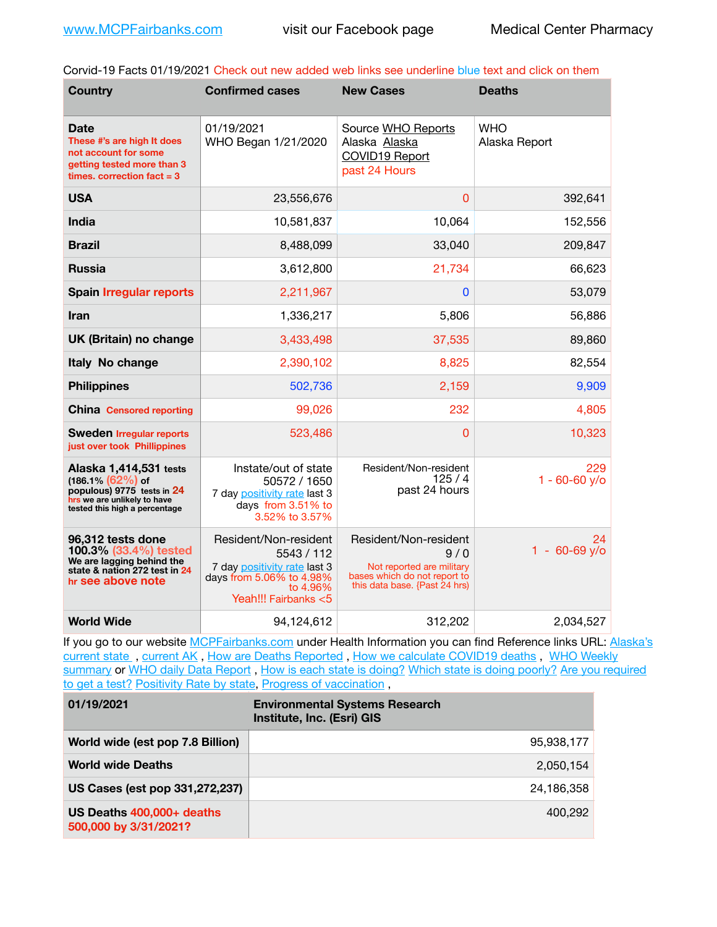Corvid-19 Facts 01/19/2021 Check out new added web links see underline blue text and click on them

| <b>Country</b>                                                                                                                               | <b>Confirmed cases</b>                                                                                                              | <b>New Cases</b>                                                                                                           | <b>Deaths</b>               |
|----------------------------------------------------------------------------------------------------------------------------------------------|-------------------------------------------------------------------------------------------------------------------------------------|----------------------------------------------------------------------------------------------------------------------------|-----------------------------|
| Date<br>These #'s are high It does<br>not account for some<br>getting tested more than 3<br>times, correction $fact = 3$                     | 01/19/2021<br>WHO Began 1/21/2020                                                                                                   | Source WHO Reports<br>Alaska Alaska<br>COVID19 Report<br>past 24 Hours                                                     | <b>WHO</b><br>Alaska Report |
| <b>USA</b>                                                                                                                                   | 23,556,676                                                                                                                          | $\Omega$                                                                                                                   | 392,641                     |
| <b>India</b>                                                                                                                                 | 10,581,837                                                                                                                          | 10,064                                                                                                                     | 152,556                     |
| <b>Brazil</b>                                                                                                                                | 8,488,099                                                                                                                           | 33,040                                                                                                                     | 209,847                     |
| <b>Russia</b>                                                                                                                                | 3,612,800                                                                                                                           | 21,734                                                                                                                     | 66,623                      |
| <b>Spain Irregular reports</b>                                                                                                               | 2,211,967                                                                                                                           | $\bf{0}$                                                                                                                   | 53,079                      |
| Iran                                                                                                                                         | 1,336,217                                                                                                                           | 5,806                                                                                                                      | 56,886                      |
| UK (Britain) no change                                                                                                                       | 3,433,498                                                                                                                           | 37,535                                                                                                                     | 89,860                      |
| Italy No change                                                                                                                              | 2,390,102                                                                                                                           | 8,825                                                                                                                      | 82,554                      |
| <b>Philippines</b>                                                                                                                           | 502,736                                                                                                                             | 2,159                                                                                                                      | 9,909                       |
| <b>China Censored reporting</b>                                                                                                              | 99,026                                                                                                                              | 232                                                                                                                        | 4,805                       |
| <b>Sweden Irregular reports</b><br>just over took Phillippines                                                                               | 523,486                                                                                                                             | $\overline{0}$                                                                                                             | 10,323                      |
| Alaska 1,414,531 tests<br>$(186.1\%)(62\%)$ of<br>populous) 9775 tests in 24<br>hrs we are unlikely to have<br>tested this high a percentage | Instate/out of state<br>50572 / 1650<br>7 day positivity rate last 3<br>days from 3.51% to<br>3.52% to 3.57%                        | Resident/Non-resident<br>125/4<br>past 24 hours                                                                            | 229<br>$1 - 60 - 60$ y/o    |
| 96,312 tests done<br>100.3% (33.4%) tested<br>We are lagging behind the<br>state & nation 272 test in 24<br>hr see above note                | Resident/Non-resident<br>5543 / 112<br>7 day positivity rate last 3<br>days from 5.06% to 4.98%<br>to 4.96%<br>Yeah!!! Fairbanks <5 | Resident/Non-resident<br>9/0<br>Not reported are military<br>bases which do not report to<br>this data base. {Past 24 hrs) | 24<br>$1 - 60 - 69$ y/o     |
| <b>World Wide</b>                                                                                                                            | 94,124,612                                                                                                                          | 312,202                                                                                                                    | 2,034,527                   |

If you go to our website [MCPFairbanks.com](http://www.MCPFairbanks.com) under Health Information you can find Reference links URL: Alaska's current state, current AK, [How are Deaths Reported](http://dhss.alaska.gov/dph/Epi/id/Pages/COVID-19/deathcounts.aspx), [How we calculate COVID19 deaths](https://coronavirus-response-alaska-dhss.hub.arcgis.com/search?collection=Document&groupIds=41ccb3344ebc4bd682c74073eba21f42), WHO Weekly [summary](http://www.who.int) or [WHO daily Data Report](https://covid19.who.int/table), [How is each state is doing?](https://www.msn.com/en-us/news/us/state-by-state-coronavirus-news/ar-BB13E1PX?fbclid=IwAR0_OBJH7lSyTN3ug_MsOeFnNgB1orTa9OBgilKJ7dhnwlVvHEsptuKkj1c) [Which state is doing poorly?](https://bestlifeonline.com/covid-outbreak-your-state/?utm_source=nsltr&utm_medium=email&utm_content=covid-outbreak-your-state&utm_campaign=launch) Are you required [to get a test?](http://dhss.alaska.gov/dph/Epi/id/SiteAssets/Pages/HumanCoV/Whattodoafteryourtest.pdf) [Positivity Rate by state](https://coronavirus.jhu.edu/testing/individual-states/alaska), [Progress of vaccination](https://covid.cdc.gov/covid-data-tracker/#vaccinations) ,

| 01/19/2021                                         | <b>Environmental Systems Research</b><br>Institute, Inc. (Esri) GIS |
|----------------------------------------------------|---------------------------------------------------------------------|
| World wide (est pop 7.8 Billion)                   | 95,938,177                                                          |
| <b>World wide Deaths</b>                           | 2.050.154                                                           |
| US Cases (est pop 331,272,237)                     | 24.186.358                                                          |
| US Deaths 400,000+ deaths<br>500,000 by 3/31/2021? | 400.292                                                             |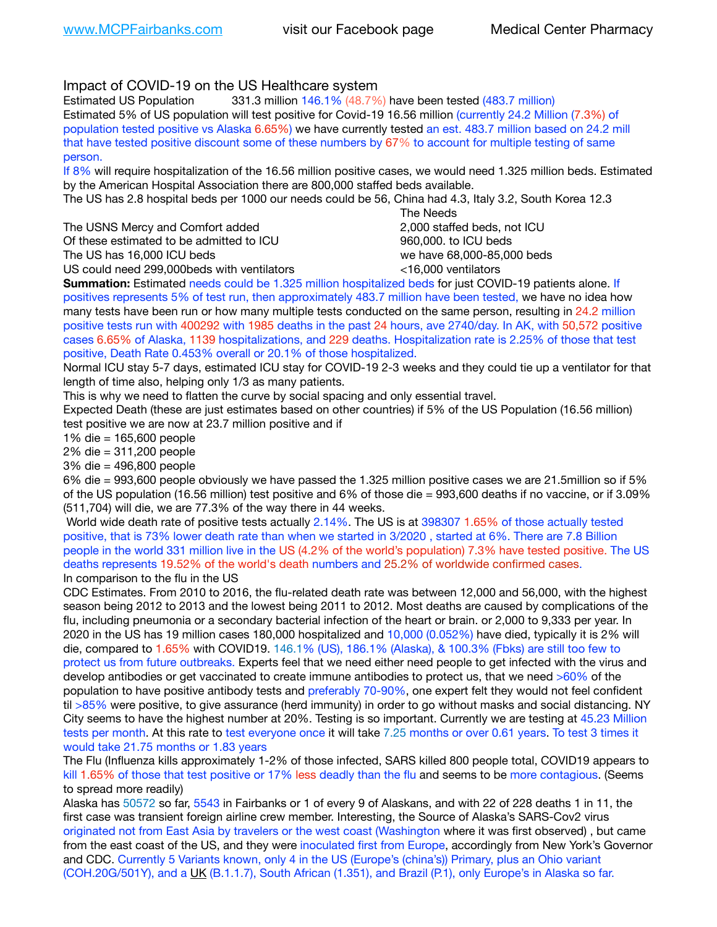## Impact of COVID-19 on the US Healthcare system

Estimated US Population 331.3 million 146.1% (48.7%) have been tested (483.7 million) Estimated 5% of US population will test positive for Covid-19 16.56 million (currently 24.2 Million (7.3%) of population tested positive vs Alaska 6.65%) we have currently tested an est. 483.7 million based on 24.2 mill that have tested positive discount some of these numbers by 67% to account for multiple testing of same person.

If 8% will require hospitalization of the 16.56 million positive cases, we would need 1.325 million beds. Estimated by the American Hospital Association there are 800,000 staffed beds available.

The US has 2.8 hospital beds per 1000 our needs could be 56, China had 4.3, Italy 3.2, South Korea 12.3

The USNS Mercy and Comfort added **8.2000** staffed beds, not ICU Of these estimated to be admitted to ICU 960,000, to ICU beds The US has 16,000 ICU beds we have 68,000-85,000 beds US could need 299,000 beds with ventilators  $\leq 16,000$  ventilators

 The Needs

**Summation:** Estimated needs could be 1.325 million hospitalized beds for just COVID-19 patients alone. If positives represents 5% of test run, then approximately 483.7 million have been tested, we have no idea how many tests have been run or how many multiple tests conducted on the same person, resulting in 24.2 million positive tests run with 400292 with 1985 deaths in the past 24 hours, ave 2740/day. In AK, with 50,572 positive cases 6.65% of Alaska, 1139 hospitalizations, and 229 deaths. Hospitalization rate is 2.25% of those that test positive, Death Rate 0.453% overall or 20.1% of those hospitalized.

Normal ICU stay 5-7 days, estimated ICU stay for COVID-19 2-3 weeks and they could tie up a ventilator for that length of time also, helping only 1/3 as many patients.

This is why we need to flatten the curve by social spacing and only essential travel.

Expected Death (these are just estimates based on other countries) if 5% of the US Population (16.56 million) test positive we are now at 23.7 million positive and if

1% die = 165,600 people

2% die = 311,200 people

3% die = 496,800 people

6% die = 993,600 people obviously we have passed the 1.325 million positive cases we are 21.5million so if 5% of the US population (16.56 million) test positive and 6% of those die = 993,600 deaths if no vaccine, or if 3.09% (511,704) will die, we are 77.3% of the way there in 44 weeks.

 World wide death rate of positive tests actually 2.14%. The US is at 398307 1.65% of those actually tested positive, that is 73% lower death rate than when we started in 3/2020 , started at 6%. There are 7.8 Billion people in the world 331 million live in the US (4.2% of the world's population) 7.3% have tested positive. The US deaths represents 19.52% of the world's death numbers and 25.2% of worldwide confirmed cases. In comparison to the flu in the US

CDC Estimates. From 2010 to 2016, the flu-related death rate was between 12,000 and 56,000, with the highest season being 2012 to 2013 and the lowest being 2011 to 2012. Most deaths are caused by complications of the flu, including pneumonia or a secondary bacterial infection of the heart or brain. or 2,000 to 9,333 per year. In 2020 in the US has 19 million cases 180,000 hospitalized and 10,000 (0.052%) have died, typically it is 2% will die, compared to 1.65% with COVID19. 146.1% (US), 186.1% (Alaska), & 100.3% (Fbks) are still too few to protect us from future outbreaks. Experts feel that we need either need people to get infected with the virus and develop antibodies or get vaccinated to create immune antibodies to protect us, that we need >60% of the population to have positive antibody tests and preferably 70-90%, one expert felt they would not feel confident til >85% were positive, to give assurance (herd immunity) in order to go without masks and social distancing. NY City seems to have the highest number at 20%. Testing is so important. Currently we are testing at 45.23 Million tests per month. At this rate to test everyone once it will take 7.25 months or over 0.61 years. To test 3 times it would take 21.75 months or 1.83 years

The Flu (Influenza kills approximately 1-2% of those infected, SARS killed 800 people total, COVID19 appears to kill 1.65% of those that test positive or 17% less deadly than the flu and seems to be more contagious. (Seems to spread more readily)

Alaska has 50572 so far, 5543 in Fairbanks or 1 of every 9 of Alaskans, and with 22 of 228 deaths 1 in 11, the first case was transient foreign airline crew member. Interesting, the Source of Alaska's SARS-Cov2 virus originated not from East Asia by travelers or the west coast (Washington where it was first observed) , but came from the east coast of the US, and they were inoculated first from Europe, accordingly from New York's Governor and CDC. Currently 5 Variants known, only 4 in the US (Europe's (china's)) Primary, plus an Ohio variant (COH.20G/501Y), and a [UK](https://www.cdc.gov/coronavirus/2019-ncov/transmission/variant-cases.html) (B.1.1.7), South African (1.351), and Brazil (P.1), only Europe's in Alaska so far.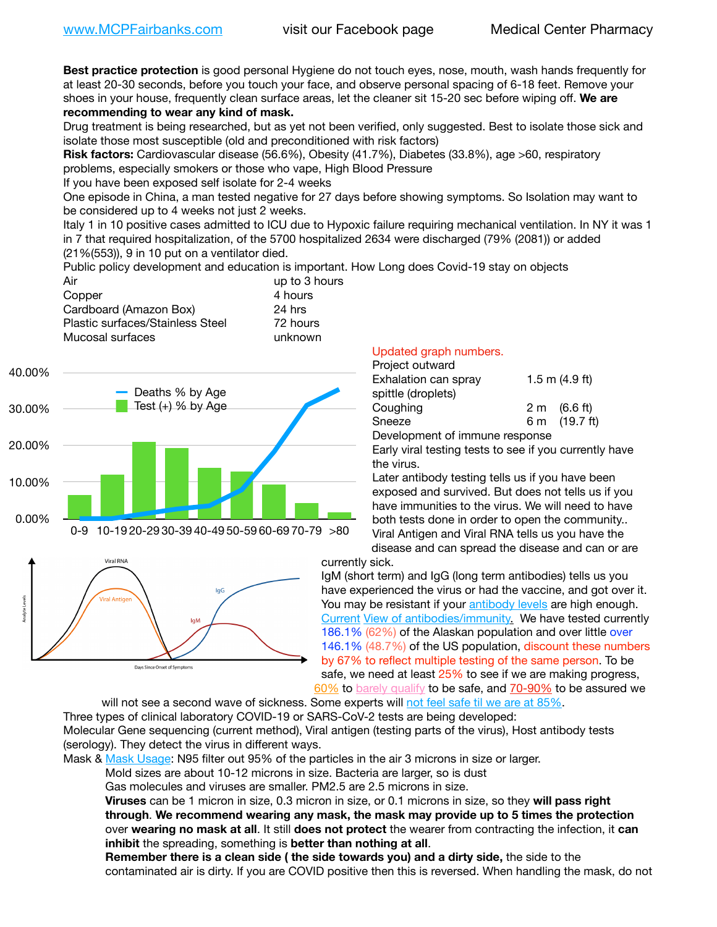**Best practice protection** is good personal Hygiene do not touch eyes, nose, mouth, wash hands frequently for at least 20-30 seconds, before you touch your face, and observe personal spacing of 6-18 feet. Remove your shoes in your house, frequently clean surface areas, let the cleaner sit 15-20 sec before wiping off. **We are recommending to wear any kind of mask.**

Drug treatment is being researched, but as yet not been verified, only suggested. Best to isolate those sick and isolate those most susceptible (old and preconditioned with risk factors)

**Risk factors:** Cardiovascular disease (56.6%), Obesity (41.7%), Diabetes (33.8%), age >60, respiratory problems, especially smokers or those who vape, High Blood Pressure

If you have been exposed self isolate for 2-4 weeks

One episode in China, a man tested negative for 27 days before showing symptoms. So Isolation may want to be considered up to 4 weeks not just 2 weeks.

Italy 1 in 10 positive cases admitted to ICU due to Hypoxic failure requiring mechanical ventilation. In NY it was 1 in 7 that required hospitalization, of the 5700 hospitalized 2634 were discharged (79% (2081)) or added (21%(553)), 9 in 10 put on a ventilator died.

Public policy development and education is important. How Long does Covid-19 stay on objects

| Air                              | up to 3 hours |
|----------------------------------|---------------|
| Copper                           | 4 hours       |
| Cardboard (Amazon Box)           | 24 hrs        |
| Plastic surfaces/Stainless Steel | 72 hours      |
| Mucosal surfaces                 | unknown       |
|                                  |               |





## Updated graph numbers.

| Project outward                |                        |
|--------------------------------|------------------------|
| Exhalation can spray           | 1.5 m $(4.9$ ft)       |
| spittle (droplets)             |                        |
| Coughing                       | $2 \text{ m}$ (6.6 ft) |
| Sneeze                         | 6 m (19.7 ft)          |
| Development of immune response |                        |

Early viral testing tests to see if you currently have the virus.

Later antibody testing tells us if you have been exposed and survived. But does not tells us if you have immunities to the virus. We will need to have both tests done in order to open the community.. Viral Antigen and Viral RNA tells us you have the disease and can spread the disease and can or are

currently sick.

IgM (short term) and IgG (long term antibodies) tells us you have experienced the virus or had the vaccine, and got over it. You may be resistant if your [antibody levels](https://www.cdc.gov/coronavirus/2019-ncov/lab/resources/antibody-tests.html) are high enough. [Current](https://l.facebook.com/l.php?u=https://www.itv.com/news/2020-10-26/covid-19-antibody-levels-reduce-over-time-study-finds?fbclid=IwAR3Dapzh1qIH1EIOdUQI2y8THf7jfA4KBCaJz8Qg-8xe1YsrR4nsAHDIXSY&h=AT30nut8pkqp0heVuz5W2rT2WFFm-2Ab52BsJxZZCNlGsX58IpPkuVEPULbIUV_M16MAukx1Kwb657DPXxsgDN1rpOQ4gqBtQsmVYiWpnHPJo2RQsU6CPMd14lgLnQnFWxfVi6zvmw&__tn__=-UK-R&c%5B0%5D=AT1GaRAfR_nGAyqcn7TI1-PpvqOqEKXHnz6TDWvRStMnOSH7boQDvTiwTOc6VId9UES6LKiOmm2m88wKCoolkJyOFvakt2Z1Mw8toYWGGoWW23r0MNVBl7cYJXB_UOvGklNHaNnaNr1_S7NhT3BSykNOBg) [View of antibodies/immunity](https://www.livescience.com/antibodies.html)[.](https://www.itv.com/news/2020-10-26/covid-19-antibody-levels-reduce-over-time-study-finds) We have tested currently 186.1% (62%) of the Alaskan population and over little over 146.1% (48.7%) of the US population, discount these numbers by 67% to reflect multiple testing of the same person. To be safe, we need at least 25% to see if we are making progress, [60%](https://www.jhsph.edu/covid-19/articles/achieving-herd-immunity-with-covid19.html) to [barely qualify](https://www.nature.com/articles/d41586-020-02948-4) to be safe, and [70-90%](https://www.mayoclinic.org/herd-immunity-and-coronavirus/art-20486808) to be assured we

will not see a second wave of sickness. Some experts will [not feel safe til we are at 85%.](https://www.bannerhealth.com/healthcareblog/teach-me/what-is-herd-immunity) Three types of clinical laboratory COVID-19 or SARS-CoV-2 tests are being developed: Molecular Gene sequencing (current method), Viral antigen (testing parts of the virus), Host antibody tests (serology). They detect the virus in different ways.

Mask & [Mask Usage:](https://www.nationalgeographic.com/history/2020/03/how-cities-flattened-curve-1918-spanish-flu-pandemic-coronavirus/) N95 filter out 95% of the particles in the air 3 microns in size or larger.

Mold sizes are about 10-12 microns in size. Bacteria are larger, so is dust

Gas molecules and viruses are smaller. PM2.5 are 2.5 microns in size.

**Viruses** can be 1 micron in size, 0.3 micron in size, or 0.1 microns in size, so they **will pass right through**. **We recommend wearing any mask, the mask may provide up to 5 times the protection** over **wearing no mask at all**. It still **does not protect** the wearer from contracting the infection, it **can inhibit** the spreading, something is **better than nothing at all**.

**Remember there is a clean side ( the side towards you) and a dirty side,** the side to the contaminated air is dirty. If you are COVID positive then this is reversed. When handling the mask, do not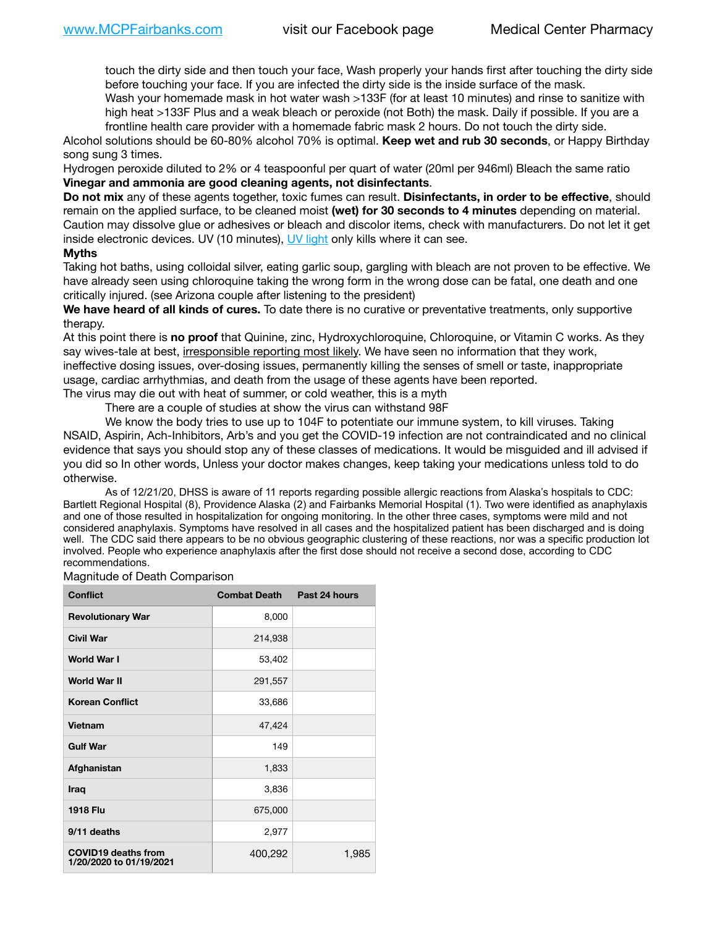touch the dirty side and then touch your face, Wash properly your hands first after touching the dirty side before touching your face. If you are infected the dirty side is the inside surface of the mask.

Wash your homemade mask in hot water wash >133F (for at least 10 minutes) and rinse to sanitize with high heat >133F Plus and a weak bleach or peroxide (not Both) the mask. Daily if possible. If you are a frontline health care provider with a homemade fabric mask 2 hours. Do not touch the dirty side.

Alcohol solutions should be 60-80% alcohol 70% is optimal. **Keep wet and rub 30 seconds**, or Happy Birthday song sung 3 times.

Hydrogen peroxide diluted to 2% or 4 teaspoonful per quart of water (20ml per 946ml) Bleach the same ratio **Vinegar and ammonia are good cleaning agents, not disinfectants**.

**Do not mix** any of these agents together, toxic fumes can result. **Disinfectants, in order to be effective**, should remain on the applied surface, to be cleaned moist **(wet) for 30 seconds to 4 minutes** depending on material. Caution may dissolve glue or adhesives or bleach and discolor items, check with manufacturers. Do not let it get inside electronic devices. UV (10 minutes), [UV light](http://www.docreviews.me/best-uv-boxes-2020/?fbclid=IwAR3bvFtXB48OoBBSvYvTEnKuHNPbipxM6jUo82QUSw9wckxjC7wwRZWabGw) only kills where it can see.

## **Myths**

Taking hot baths, using colloidal silver, eating garlic soup, gargling with bleach are not proven to be effective. We have already seen using chloroquine taking the wrong form in the wrong dose can be fatal, one death and one critically injured. (see Arizona couple after listening to the president)

**We have heard of all kinds of cures.** To date there is no curative or preventative treatments, only supportive therapy.

At this point there is **no proof** that Quinine, zinc, Hydroxychloroquine, Chloroquine, or Vitamin C works. As they say wives-tale at best, irresponsible reporting most likely. We have seen no information that they work, ineffective dosing issues, over-dosing issues, permanently killing the senses of smell or taste, inappropriate usage, cardiac arrhythmias, and death from the usage of these agents have been reported. The virus may die out with heat of summer, or cold weather, this is a myth

There are a couple of studies at show the virus can withstand 98F

We know the body tries to use up to 104F to potentiate our immune system, to kill viruses. Taking NSAID, Aspirin, Ach-Inhibitors, Arb's and you get the COVID-19 infection are not contraindicated and no clinical evidence that says you should stop any of these classes of medications. It would be misguided and ill advised if you did so In other words, Unless your doctor makes changes, keep taking your medications unless told to do otherwise.

As of 12/21/20, DHSS is aware of 11 reports regarding possible allergic reactions from Alaska's hospitals to CDC: Bartlett Regional Hospital (8), Providence Alaska (2) and Fairbanks Memorial Hospital (1). Two were identified as anaphylaxis and one of those resulted in hospitalization for ongoing monitoring. In the other three cases, symptoms were mild and not considered anaphylaxis. Symptoms have resolved in all cases and the hospitalized patient has been discharged and is doing well. The CDC said there appears to be no obvious geographic clustering of these reactions, nor was a specific production lot involved. People who experience anaphylaxis after the first dose should not receive a second dose, according to CDC recommendations.

Magnitude of Death Comparison

| <b>Conflict</b>                                       | <b>Combat Death</b> | Past 24 hours |
|-------------------------------------------------------|---------------------|---------------|
| <b>Revolutionary War</b>                              | 8,000               |               |
| <b>Civil War</b>                                      | 214,938             |               |
| World War I                                           | 53,402              |               |
| <b>World War II</b>                                   | 291,557             |               |
| <b>Korean Conflict</b>                                | 33,686              |               |
| <b>Vietnam</b>                                        | 47,424              |               |
| <b>Gulf War</b>                                       | 149                 |               |
| Afghanistan                                           | 1,833               |               |
| <b>Iraq</b>                                           | 3,836               |               |
| <b>1918 Flu</b>                                       | 675,000             |               |
| 9/11 deaths                                           | 2,977               |               |
| <b>COVID19 deaths from</b><br>1/20/2020 to 01/19/2021 | 400,292             | 1,985         |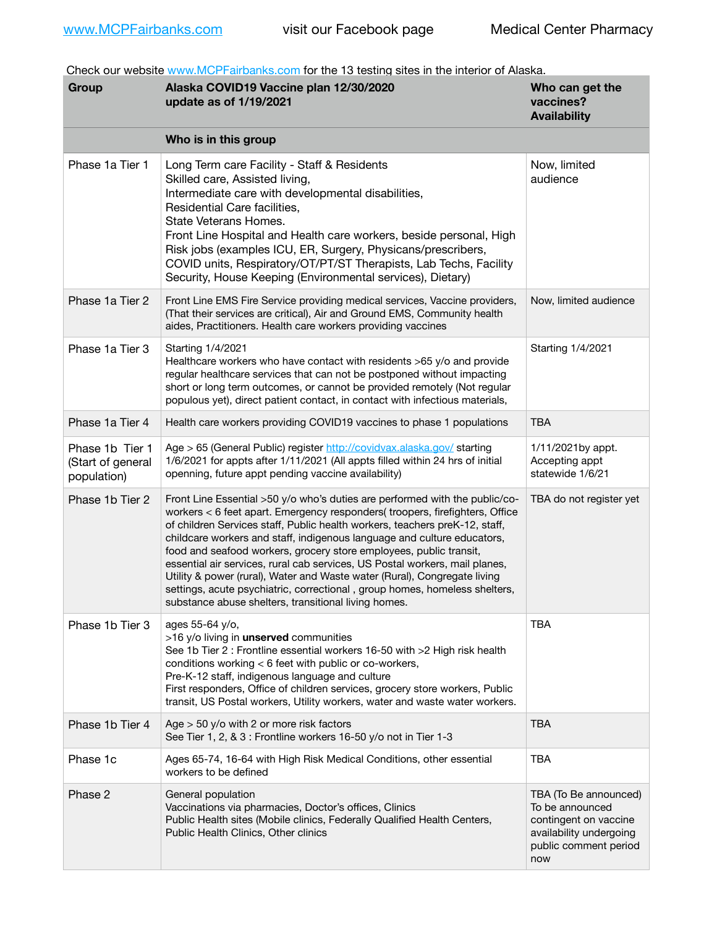Check our website [www.MCPFairbanks.com](http://www.MCPFairbanks.com) for the 13 testing sites in the interior of Alaska.

| Group                                               | Alaska COVID19 Vaccine plan 12/30/2020<br>update as of 1/19/2021                                                                                                                                                                                                                                                                                                                                                                                                                                                                                                                                                                                                                              | Who can get the<br>vaccines?<br><b>Availability</b>                                                                          |
|-----------------------------------------------------|-----------------------------------------------------------------------------------------------------------------------------------------------------------------------------------------------------------------------------------------------------------------------------------------------------------------------------------------------------------------------------------------------------------------------------------------------------------------------------------------------------------------------------------------------------------------------------------------------------------------------------------------------------------------------------------------------|------------------------------------------------------------------------------------------------------------------------------|
|                                                     | Who is in this group                                                                                                                                                                                                                                                                                                                                                                                                                                                                                                                                                                                                                                                                          |                                                                                                                              |
| Phase 1a Tier 1                                     | Long Term care Facility - Staff & Residents<br>Skilled care, Assisted living,<br>Intermediate care with developmental disabilities,<br>Residential Care facilities.<br>State Veterans Homes.<br>Front Line Hospital and Health care workers, beside personal, High<br>Risk jobs (examples ICU, ER, Surgery, Physicans/prescribers,<br>COVID units, Respiratory/OT/PT/ST Therapists, Lab Techs, Facility<br>Security, House Keeping (Environmental services), Dietary)                                                                                                                                                                                                                         | Now, limited<br>audience                                                                                                     |
| Phase 1a Tier 2                                     | Front Line EMS Fire Service providing medical services, Vaccine providers,<br>(That their services are critical), Air and Ground EMS, Community health<br>aides, Practitioners. Health care workers providing vaccines                                                                                                                                                                                                                                                                                                                                                                                                                                                                        | Now, limited audience                                                                                                        |
| Phase 1a Tier 3                                     | Starting 1/4/2021<br>Healthcare workers who have contact with residents >65 y/o and provide<br>regular healthcare services that can not be postponed without impacting<br>short or long term outcomes, or cannot be provided remotely (Not regular<br>populous yet), direct patient contact, in contact with infectious materials,                                                                                                                                                                                                                                                                                                                                                            | Starting 1/4/2021                                                                                                            |
| Phase 1a Tier 4                                     | Health care workers providing COVID19 vaccines to phase 1 populations                                                                                                                                                                                                                                                                                                                                                                                                                                                                                                                                                                                                                         | <b>TBA</b>                                                                                                                   |
| Phase 1b Tier 1<br>(Start of general<br>population) | Age > 65 (General Public) register http://covidvax.alaska.gov/ starting<br>1/6/2021 for appts after 1/11/2021 (All appts filled within 24 hrs of initial<br>openning, future appt pending vaccine availability)                                                                                                                                                                                                                                                                                                                                                                                                                                                                               | 1/11/2021by appt.<br>Accepting appt<br>statewide 1/6/21                                                                      |
| Phase 1b Tier 2                                     | Front Line Essential >50 y/o who's duties are performed with the public/co-<br>workers < 6 feet apart. Emergency responders( troopers, firefighters, Office<br>of children Services staff, Public health workers, teachers preK-12, staff,<br>childcare workers and staff, indigenous language and culture educators,<br>food and seafood workers, grocery store employees, public transit,<br>essential air services, rural cab services, US Postal workers, mail planes,<br>Utility & power (rural), Water and Waste water (Rural), Congregate living<br>settings, acute psychiatric, correctional, group homes, homeless shelters,<br>substance abuse shelters, transitional living homes. | TBA do not register yet                                                                                                      |
| Phase 1b Tier 3                                     | ages 55-64 y/o,<br>>16 y/o living in unserved communities<br>See 1b Tier 2 : Frontline essential workers 16-50 with >2 High risk health<br>conditions working < 6 feet with public or co-workers,<br>Pre-K-12 staff, indigenous language and culture<br>First responders, Office of children services, grocery store workers, Public<br>transit, US Postal workers, Utility workers, water and waste water workers.                                                                                                                                                                                                                                                                           | <b>TBA</b>                                                                                                                   |
| Phase 1b Tier 4                                     | Age $>$ 50 y/o with 2 or more risk factors<br>See Tier 1, 2, & 3 : Frontline workers 16-50 y/o not in Tier 1-3                                                                                                                                                                                                                                                                                                                                                                                                                                                                                                                                                                                | <b>TBA</b>                                                                                                                   |
| Phase 1c                                            | Ages 65-74, 16-64 with High Risk Medical Conditions, other essential<br>workers to be defined                                                                                                                                                                                                                                                                                                                                                                                                                                                                                                                                                                                                 | <b>TBA</b>                                                                                                                   |
| Phase 2                                             | General population<br>Vaccinations via pharmacies, Doctor's offices, Clinics<br>Public Health sites (Mobile clinics, Federally Qualified Health Centers,<br>Public Health Clinics, Other clinics                                                                                                                                                                                                                                                                                                                                                                                                                                                                                              | TBA (To Be announced)<br>To be announced<br>contingent on vaccine<br>availability undergoing<br>public comment period<br>now |